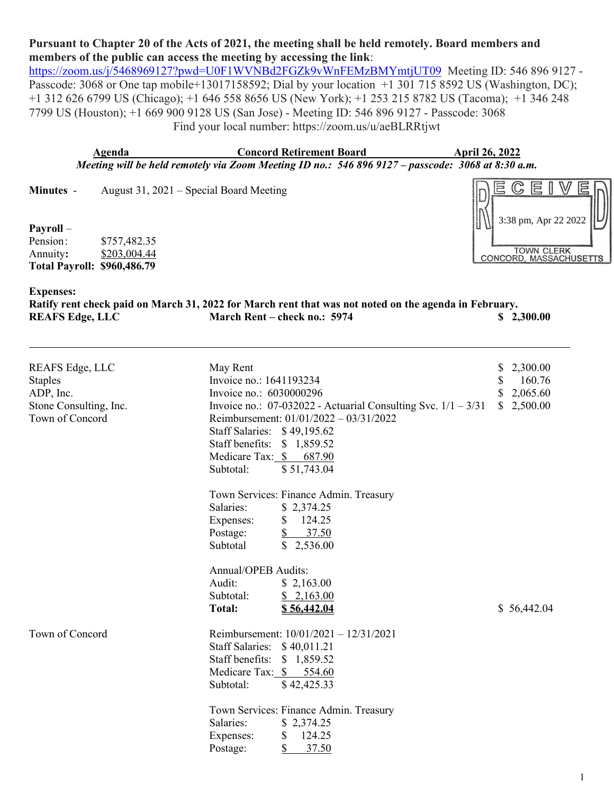## **Pursuant to Chapter 20 of the Acts of 2021, the meeting shall be held remotely. Board members and members of the public can access the meeting by accessing the link**:

<https://zoom.us/j/5468969127?pwd=U0F1WVNBd2FGZk9vWnFEMzBMYmtjUT09>Meeting ID: 546 896 9127 -Passcode: 3068 or One tap mobile+13017158592; Dial by your location +1 301 715 8592 US (Washington, DC); +1 312 626 6799 US (Chicago); +1 646 558 8656 US (New York); +1 253 215 8782 US (Tacoma); +1 346 248 7799 US (Houston); +1 669 900 9128 US (San Jose) - Meeting ID: 546 896 9127 - Passcode: 3068 Find your local number: https://zoom.us/u/aeBLRRtjwt

**Agenda Concord Retirement Board April 26, 2022** *Meeting will be held remotely via Zoom Meeting ID no.: 546 896 9127 – passcode: 3068 at 8:30 a.m.*

**Minutes** - August 31, 2021 – Special Board Meeting

## **Payroll** –

Pension: \$757,482.35 Annuity**:** \$203,004.44 **Total Payroll: \$960,486.79**



## **Expenses:**

Ratify rent check paid on March 31, 2022 for March rent that was not noted on the agenda in February.<br>REAFS Edge, LLC March Rent – check no.: 5974 \$2, **EXECUTE: EXECUTE: EXECUTE: EXECUTE: EXECUTE: EXECUTE: EXECUTE: EXECUTE: EXECUTE: EXECUTE: EXECUTE: EXECUTE: EXECUTE: EXECUTE: EXECUTE: EXECUTE: EXECUTE: EXECUTE: EXECUTE: EXECUTE: E** 

| REAFS Edge, LLC<br><b>Staples</b><br>ADP, Inc.<br>Stone Consulting, Inc.<br>Town of Concord | May Rent<br>Invoice no.: 1641193234<br>Invoice no.: 6030000296<br>Invoice no.: $07-032022$ - Actuarial Consulting Svc. $1/1 - 3/31$<br>Reimbursement: 01/01/2022 - 03/31/2022<br>Staff Salaries: \$49,195.62<br>Staff benefits: \$ 1,859.52<br>Medicare Tax: \$ 687.90<br>\$51,743.04<br>Subtotal: | 2,300.00<br>S<br>S<br>160.76<br>\$<br>2,065.60<br>\$2,500.00 |
|---------------------------------------------------------------------------------------------|----------------------------------------------------------------------------------------------------------------------------------------------------------------------------------------------------------------------------------------------------------------------------------------------------|--------------------------------------------------------------|
|                                                                                             | Town Services: Finance Admin. Treasury<br>Salaries:<br>\$2,374.25<br>\$<br>124.25<br>Expenses:<br>$\mathcal{S}$<br>37.50<br>Postage:<br>$\mathbb{S}$<br>Subtotal<br>2,536.00                                                                                                                       |                                                              |
|                                                                                             | <b>Annual/OPEB Audits:</b><br>Audit:<br>\$2,163.00<br>Subtotal:<br>\$2,163.00<br>Total:<br>\$56,442.04                                                                                                                                                                                             | \$56,442.04                                                  |
| Town of Concord                                                                             | Reimbursement: $10/01/2021 - 12/31/2021$<br>Staff Salaries: \$40,011.21<br>Staff benefits: \$1,859.52<br>Medicare Tax: \$ 554.60<br>Subtotal:<br>\$42,425.33                                                                                                                                       |                                                              |
|                                                                                             | Town Services: Finance Admin. Treasury<br>\$2,374.25<br>Salaries:<br>\$<br>124.25<br>Expenses:<br>\$<br>37.50<br>Postage:                                                                                                                                                                          |                                                              |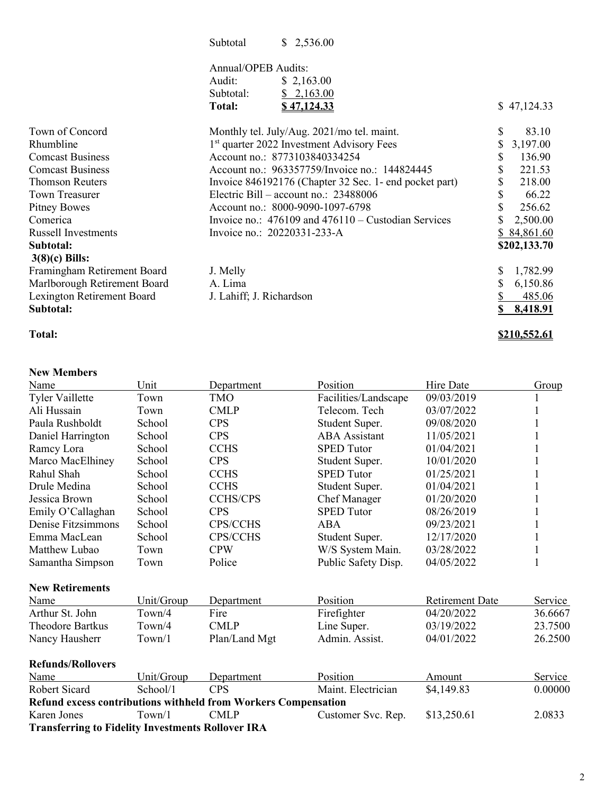| Subtotal |  | \$2,536.00 |
|----------|--|------------|
|----------|--|------------|

## Annual/OPEB Audits:

| Audit:    | \$2,163.00         |             |
|-----------|--------------------|-------------|
| Subtotal: | \$2,163.00         |             |
| Total:    | <u>\$47,124.33</u> | \$47,124.33 |

| Town of Concord              | Monthly tel. July/Aug. 2021/mo tel. maint.              | \$<br>83.10    |
|------------------------------|---------------------------------------------------------|----------------|
| Rhumbline                    | 1 <sup>st</sup> quarter 2022 Investment Advisory Fees   | 3,197.00<br>\$ |
| <b>Comcast Business</b>      | Account no.: 8773103840334254                           | 136.90<br>S    |
| <b>Comcast Business</b>      | Account no.: 963357759/Invoice no.: 144824445           | 221.53         |
| <b>Thomson Reuters</b>       | Invoice 846192176 (Chapter 32 Sec. 1- end pocket part)  | 218.00<br>S    |
| Town Treasurer               | Electric Bill – account no.: $23488006$                 | S<br>66.22     |
| Pitney Bowes                 | Account no.: 8000-9090-1097-6798                        | 256.62         |
| Comerica                     | Invoice no.: $476109$ and $476110 -$ Custodian Services | 2,500.00       |
| <b>Russell Investments</b>   | Invoice no.: 20220331-233-A                             | \$84,861.60    |
| Subtotal:                    |                                                         | \$202,133.70   |
| $3(8)(c)$ Bills:             |                                                         |                |
| Framingham Retirement Board  | J. Melly                                                | 1,782.99       |
| Marlborough Retirement Board | A. Lima                                                 | 6,150.86       |
| Lexington Retirement Board   | J. Lahiff; J. Richardson                                | 485.06         |
| Subtotal:                    |                                                         | 8,418.91       |
|                              |                                                         |                |

### **New Members**

# **Total: \$210,552.61**

| Name                                                     | Unit                | Department                                                            | Position             | Hire Date              | Group        |
|----------------------------------------------------------|---------------------|-----------------------------------------------------------------------|----------------------|------------------------|--------------|
| <b>Tyler Vaillette</b>                                   | Town                | <b>TMO</b>                                                            | Facilities/Landscape | 09/03/2019             |              |
| Ali Hussain                                              | Town                | <b>CMLP</b>                                                           | Telecom. Tech        | 03/07/2022             |              |
| Paula Rushboldt                                          | School              | <b>CPS</b>                                                            | Student Super.       | 09/08/2020             |              |
| Daniel Harrington                                        | School              | <b>CPS</b>                                                            | <b>ABA</b> Assistant | 11/05/2021             |              |
| Ramcy Lora                                               | School              | <b>CCHS</b>                                                           | <b>SPED Tutor</b>    | 01/04/2021             |              |
| Marco MacElhiney                                         | School              | <b>CPS</b>                                                            | Student Super.       | 10/01/2020             |              |
| Rahul Shah                                               | School              | <b>CCHS</b>                                                           | <b>SPED Tutor</b>    | 01/25/2021             |              |
| Drule Medina                                             | School              | <b>CCHS</b>                                                           | Student Super.       | 01/04/2021             |              |
| Jessica Brown                                            | School              | <b>CCHS/CPS</b>                                                       | <b>Chef Manager</b>  | 01/20/2020             |              |
| Emily O'Callaghan                                        | School              | <b>CPS</b>                                                            | <b>SPED Tutor</b>    | 08/26/2019             | 1            |
| Denise Fitzsimmons                                       | School              | <b>CPS/CCHS</b>                                                       | <b>ABA</b>           | 09/23/2021             |              |
| Emma MacLean                                             | School              | CPS/CCHS                                                              | Student Super.       | 12/17/2020             |              |
| Matthew Lubao                                            | Town                | <b>CPW</b>                                                            | W/S System Main.     | 03/28/2022             | $\mathbf{1}$ |
| Samantha Simpson                                         | Town                | Police                                                                | Public Safety Disp.  | 04/05/2022             | 1            |
| <b>New Retirements</b>                                   |                     |                                                                       |                      |                        |              |
| Name                                                     | Unit/Group          | Department                                                            | Position             | <b>Retirement Date</b> | Service      |
| Arthur St. John                                          | T <sub>own</sub> /4 | Fire                                                                  | Firefighter          | 04/20/2022             | 36.6667      |
| <b>Theodore Bartkus</b>                                  | Town/4              | <b>CMLP</b>                                                           | Line Super.          | 03/19/2022             | 23.7500      |
| Nancy Hausherr                                           | Town/1              | Plan/Land Mgt                                                         | Admin. Assist.       | 04/01/2022             | 26.2500      |
| <b>Refunds/Rollovers</b>                                 |                     |                                                                       |                      |                        |              |
| Name                                                     | Unit/Group          | Department                                                            | Position             | Amount                 | Service      |
| <b>Robert Sicard</b>                                     | School/1            | <b>CPS</b>                                                            | Maint. Electrician   | \$4,149.83             | 0.00000      |
|                                                          |                     | <b>Refund excess contributions withheld from Workers Compensation</b> |                      |                        |              |
| Karen Jones                                              | Town/1              | <b>CMLP</b>                                                           | Customer Svc. Rep.   | \$13,250.61            | 2.0833       |
| <b>Transferring to Fidelity Investments Rollover IRA</b> |                     |                                                                       |                      |                        |              |